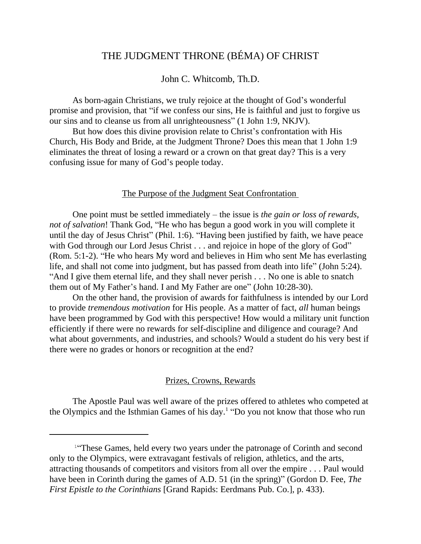# THE JUDGMENT THRONE (BÉMA) OF CHRIST

## John C. Whitcomb, Th.D.

As born-again Christians, we truly rejoice at the thought of God's wonderful promise and provision, that "if we confess our sins, He is faithful and just to forgive us our sins and to cleanse us from all unrighteousness" (1 John 1:9, NKJV).

But how does this divine provision relate to Christ's confrontation with His Church, His Body and Bride, at the Judgment Throne? Does this mean that 1 John 1:9 eliminates the threat of losing a reward or a crown on that great day? This is a very confusing issue for many of God's people today.

#### The Purpose of the Judgment Seat Confrontation

One point must be settled immediately – the issue is *the gain or loss of rewards, not of salvation*! Thank God, "He who has begun a good work in you will complete it until the day of Jesus Christ" (Phil. 1:6). "Having been justified by faith, we have peace with God through our Lord Jesus Christ . . . and rejoice in hope of the glory of God" (Rom. 5:1-2). "He who hears My word and believes in Him who sent Me has everlasting life, and shall not come into judgment, but has passed from death into life" (John 5:24). "And I give them eternal life, and they shall never perish . . . No one is able to snatch them out of My Father's hand. I and My Father are one" (John 10:28-30).

On the other hand, the provision of awards for faithfulness is intended by our Lord to provide *tremendous motivation* for His people. As a matter of fact, *all* human beings have been programmed by God with this perspective! How would a military unit function efficiently if there were no rewards for self-discipline and diligence and courage? And what about governments, and industries, and schools? Would a student do his very best if there were no grades or honors or recognition at the end?

## Prizes, Crowns, Rewards

The Apostle Paul was well aware of the prizes offered to athletes who competed at the Olympics and the Isthmian Games of his day.<sup>1</sup> "Do you not know that those who run

<sup>&</sup>lt;sup>1"</sup>These Games, held every two years under the patronage of Corinth and second only to the Olympics, were extravagant festivals of religion, athletics, and the arts, attracting thousands of competitors and visitors from all over the empire . . . Paul would have been in Corinth during the games of A.D. 51 (in the spring)" (Gordon D. Fee, *The First Epistle to the Corinthians* [Grand Rapids: Eerdmans Pub. Co.], p. 433).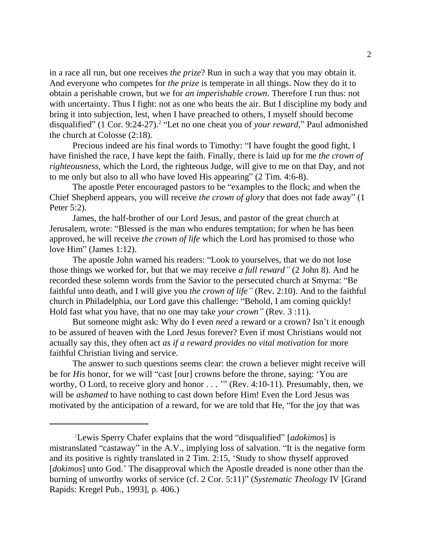in a race all run, but one receives *the prize*? Run in such a way that you may obtain it. And everyone who competes for *the prize* is temperate in all things. Now they do it to obtain a perishable crown, but we for *an imperishable crown*. Therefore I run thus: not with uncertainty. Thus I fight: not as one who beats the air. But I discipline my body and bring it into subjection, lest, when I have preached to others, I myself should become disqualified" (1 Cor. 9:24-27).<sup>2</sup> "Let no one cheat you of *your reward*," Paul admonished the church at Colosse (2:18).

Precious indeed are his final words to Timothy: "I have fought the good fight, I have finished the race, I have kept the faith. Finally, there is laid up for me *the crown of righteousness*, which the Lord, the righteous Judge, will give to me on that Day, and not to me only but also to all who have loved His appearing" (2 Tim. 4:6-8).

The apostle Peter encouraged pastors to be "examples to the flock; and when the Chief Shepherd appears, you will receive *the crown of glory* that does not fade away" (1 Peter 5:2).

James, the half-brother of our Lord Jesus, and pastor of the great church at Jerusalem, wrote: "Blessed is the man who endures temptation; for when he has been approved, he will receive *the crown of life* which the Lord has promised to those who love Him" (James 1:12).

The apostle John warned his readers: "Look to yourselves, that we do not lose those things we worked for, but that we may receive *a full reward"* (2 John 8). And he recorded these solemn words from the Savior to the persecuted church at Smyrna: "Be faithful unto death, and I will give you *the crown of life"* (Rev. 2:10). And to the faithful church in Philadelphia, our Lord gave this challenge: "Behold, I am coming quickly! Hold fast what you have, that no one may take *your crown"* (Rev. 3 :11).

But someone might ask: Why do I even *need* a reward or a crown? Isn't it enough to be assured of heaven with the Lord Jesus forever? Even if most Christians would not actually say this, they often act *as if a reward provides no vital motivation* for more faithful Christian living and service.

The answer to such questions seems clear: the crown a believer might receive will be for *His* honor, for we will "cast [our] crowns before the throne, saying: 'You are worthy, O Lord, to receive glory and honor . . . '" (Rev. 4:10-11). Presumably, then, we will be *ashamed* to have nothing to cast down before Him! Even the Lord Jesus was motivated by the anticipation of a reward, for we are told that He, "for the joy that was

<sup>2</sup>Lewis Sperry Chafer explains that the word "disqualified" [*adokimos*] is mistranslated "castaway" in the A.V., implying loss of salvation. "It is the negative form and its positive is rightly translated in 2 Tim. 2:15, 'Study to show thyself approved [*dokimos*] unto God.' The disapproval which the Apostle dreaded is none other than the burning of unworthy works of service (cf. 2 Cor. 5:11)" (*Systematic Theology* IV [Grand Rapids: Kregel Pub., 1993], p. 406.)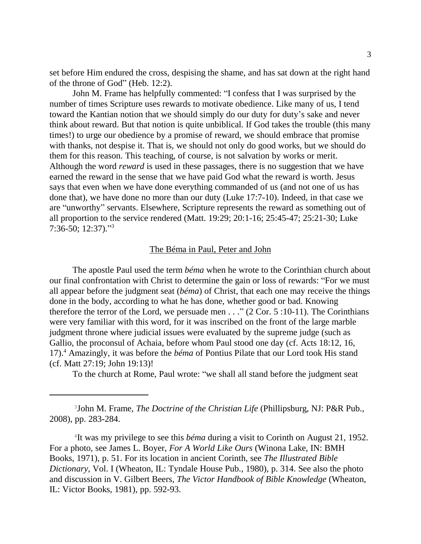set before Him endured the cross, despising the shame, and has sat down at the right hand of the throne of God" (Heb. 12:2).

John M. Frame has helpfully commented: "I confess that I was surprised by the number of times Scripture uses rewards to motivate obedience. Like many of us, I tend toward the Kantian notion that we should simply do our duty for duty's sake and never think about reward. But that notion is quite unbiblical. If God takes the trouble (this many times!) to urge our obedience by a promise of reward, we should embrace that promise with thanks, not despise it. That is, we should not only do good works, but we should do them for this reason. This teaching, of course, is not salvation by works or merit. Although the word *reward* is used in these passages, there is no suggestion that we have earned the reward in the sense that we have paid God what the reward is worth. Jesus says that even when we have done everything commanded of us (and not one of us has done that), we have done no more than our duty (Luke 17:7-10). Indeed, in that case we are "unworthy" servants. Elsewhere, Scripture represents the reward as something out of all proportion to the service rendered (Matt. 19:29; 20:1-16; 25:45-47; 25:21-30; Luke 7:36-50; 12:37)."<sup>3</sup>

#### The Béma in Paul, Peter and John

The apostle Paul used the term *béma* when he wrote to the Corinthian church about our final confrontation with Christ to determine the gain or loss of rewards: "For we must all appear before the judgment seat (*béma*) of Christ, that each one may receive the things done in the body, according to what he has done, whether good or bad. Knowing therefore the terror of the Lord, we persuade men  $\dots$  " (2 Cor. 5 :10-11). The Corinthians were very familiar with this word, for it was inscribed on the front of the large marble judgment throne where judicial issues were evaluated by the supreme judge (such as Gallio, the proconsul of Achaia, before whom Paul stood one day (cf. Acts 18:12, 16, 17).<sup>4</sup> Amazingly, it was before the *béma* of Pontius Pilate that our Lord took His stand (cf. Matt 27:19; John 19:13)!

To the church at Rome, Paul wrote: "we shall all stand before the judgment seat

3 John M. Frame, *The Doctrine of the Christian Life* (Phillipsburg, NJ: P&R Pub., 2008), pp. 283-284.

4 It was my privilege to see this *béma* during a visit to Corinth on August 21, 1952. For a photo, see James L. Boyer, *For A World Like Ours* (Winona Lake, IN: BMH Books, 1971), p. 51. For its location in ancient Corinth, see *The Illustrated Bible Dictionary*, Vol. I (Wheaton, IL: Tyndale House Pub., 1980), p. 314. See also the photo and discussion in V. Gilbert Beers, *The Victor Handbook of Bible Knowledge* (Wheaton, IL: Victor Books, 1981), pp. 592-93.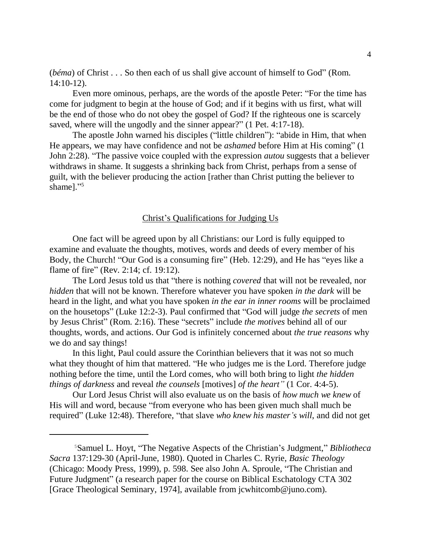(*béma*) of Christ . . . So then each of us shall give account of himself to God" (Rom. 14:10-12).

Even more ominous, perhaps, are the words of the apostle Peter: "For the time has come for judgment to begin at the house of God; and if it begins with us first, what will be the end of those who do not obey the gospel of God? If the righteous one is scarcely saved, where will the ungodly and the sinner appear?" (1 Pet. 4:17-18).

The apostle John warned his disciples ("little children"): "abide in Him, that when He appears, we may have confidence and not be *ashamed* before Him at His coming" (1 John 2:28). "The passive voice coupled with the expression *autou* suggests that a believer withdraws in shame. It suggests a shrinking back from Christ, perhaps from a sense of guilt, with the believer producing the action [rather than Christ putting the believer to shame]."<sup>5</sup>

#### Christ's Qualifications for Judging Us

One fact will be agreed upon by all Christians: our Lord is fully equipped to examine and evaluate the thoughts, motives, words and deeds of every member of his Body, the Church! "Our God is a consuming fire" (Heb. 12:29), and He has "eyes like a flame of fire" (Rev. 2:14; cf. 19:12).

The Lord Jesus told us that "there is nothing *covered* that will not be revealed, nor *hidden* that will not be known. Therefore whatever you have spoken *in the dark* will be heard in the light, and what you have spoken *in the ear in inner rooms* will be proclaimed on the housetops" (Luke 12:2-3). Paul confirmed that "God will judge *the secrets* of men by Jesus Christ" (Rom. 2:16). These "secrets" include *the motives* behind all of our thoughts, words, and actions. Our God is infinitely concerned about *the true reasons* why we do and say things!

In this light, Paul could assure the Corinthian believers that it was not so much what they thought of him that mattered. "He who judges me is the Lord. Therefore judge nothing before the time, until the Lord comes, who will both bring to light *the hidden things of darkness* and reveal *the counsels* [motives] *of the heart"* (1 Cor. 4:4-5).

Our Lord Jesus Christ will also evaluate us on the basis of *how much we knew* of His will and word, because "from everyone who has been given much shall much be required" (Luke 12:48). Therefore, "that slave *who knew his master's will*, and did not get

<sup>5</sup>Samuel L. Hoyt, "The Negative Aspects of the Christian's Judgment,"*Bibliotheca Sacra* 137:129-30 (April-June, 1980). Quoted in Charles C. Ryrie, *Basic Theology* (Chicago: Moody Press, 1999), p. 598. See also John A. Sproule, "The Christian and Future Judgment" (a research paper for the course on Biblical Eschatology CTA 302 [Grace Theological Seminary, 1974], available from jcwhitcomb@juno.com).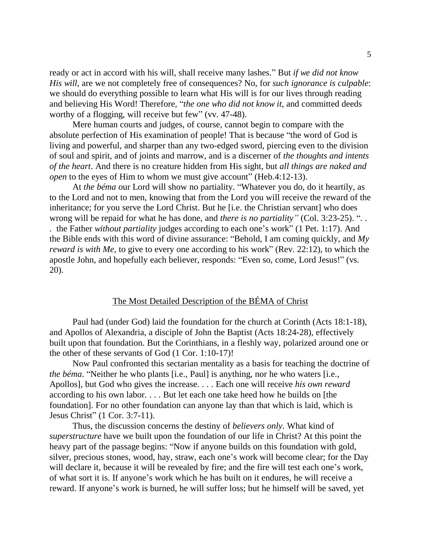ready or act in accord with his will, shall receive many lashes." But *if we did not know His will*, are we not completely free of consequences? No, for *such ignorance is culpable*: we should do everything possible to learn what His will is for our lives through reading and believing His Word! Therefore, "*the one who did not know it*, and committed deeds worthy of a flogging, will receive but few" (vv. 47-48).

Mere human courts and judges, of course, cannot begin to compare with the absolute perfection of His examination of people! That is because "the word of God is living and powerful, and sharper than any two-edged sword, piercing even to the division of soul and spirit, and of joints and marrow, and is a discerner of *the thoughts and intents of the heart*. And there is no creature hidden from His sight, but *all things are naked and open* to the eyes of Him to whom we must give account" (Heb.4:12-13).

At *the béma* our Lord will show no partiality. "Whatever you do, do it heartily, as to the Lord and not to men, knowing that from the Lord you will receive the reward of the inheritance; for you serve the Lord Christ. But he [i.e. the Christian servant] who does wrong will be repaid for what he has done, and *there is no partiality"* (Col. 3:23-25). ". . . the Father *without partiality* judges according to each one's work" (1 Pet. 1:17). And the Bible ends with this word of divine assurance: "Behold, I am coming quickly, and *My reward is with Me*, to give to every one according to his work" (Rev. 22:12), to which the apostle John, and hopefully each believer, responds: "Even so, come, Lord Jesus!" (vs. 20).

## The Most Detailed Description of the BÉMA of Christ

Paul had (under God) laid the foundation for the church at Corinth (Acts 18:1-18), and Apollos of Alexandria, a disciple of John the Baptist (Acts 18:24-28), effectively built upon that foundation. But the Corinthians, in a fleshly way, polarized around one or the other of these servants of God (1 Cor. 1:10-17)!

Now Paul confronted this sectarian mentality as a basis for teaching the doctrine of *the béma*. "Neither he who plants [i.e., Paul] is anything, nor he who waters [i.e., Apollos], but God who gives the increase. . . . Each one will receive *his own reward* according to his own labor. . . . But let each one take heed how he builds on [the foundation]. For no other foundation can anyone lay than that which is laid, which is Jesus Christ" (1 Cor. 3:7-11).

Thus, the discussion concerns the destiny of *believers only*. What kind of *superstructure* have we built upon the foundation of our life in Christ? At this point the heavy part of the passage begins: "Now if anyone builds on this foundation with gold, silver, precious stones, wood, hay, straw, each one's work will become clear; for the Day will declare it, because it will be revealed by fire; and the fire will test each one's work, of what sort it is. If anyone's work which he has built on it endures, he will receive a reward. If anyone's work is burned, he will suffer loss; but he himself will be saved, yet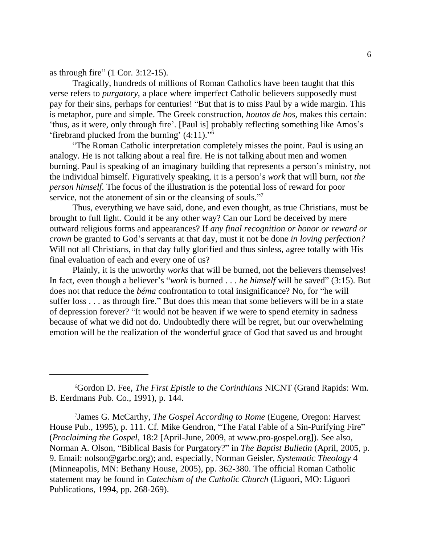as through fire" (1 Cor. 3:12-15).

Tragically, hundreds of millions of Roman Catholics have been taught that this verse refers to *purgatory*, a place where imperfect Catholic believers supposedly must pay for their sins, perhaps for centuries! "But that is to miss Paul by a wide margin. This is metaphor, pure and simple. The Greek construction, *houtos de hos*, makes this certain: 'thus, as it were, only through fire'. [Paul is] probably reflecting something like Amos's 'firebrand plucked from the burning' (4:11)."<sup>6</sup>

"The Roman Catholic interpretation completely misses the point. Paul is using an analogy. He is not talking about a real fire. He is not talking about men and women burning. Paul is speaking of an imaginary building that represents a person's ministry, not the individual himself. Figuratively speaking, it is a person's *work* that will burn, *not the person himself*. The focus of the illustration is the potential loss of reward for poor service, not the atonement of sin or the cleansing of souls."<sup>7</sup>

Thus, everything we have said, done, and even thought, as true Christians, must be brought to full light. Could it be any other way? Can our Lord be deceived by mere outward religious forms and appearances? If *any final recognition or honor or reward or crown* be granted to God's servants at that day, must it not be done *in loving perfection?* Will not all Christians, in that day fully glorified and thus sinless, agree totally with His final evaluation of each and every one of us?

Plainly, it is the unworthy *works* that will be burned, not the believers themselves! In fact, even though a believer's "*work* is burned . . . *he himself* will be saved" (3:15). But does not that reduce the *béma* confrontation to total insignificance? No, for "he will suffer loss . . . as through fire." But does this mean that some believers will be in a state of depression forever? "It would not be heaven if we were to spend eternity in sadness because of what we did not do. Undoubtedly there will be regret, but our overwhelming emotion will be the realization of the wonderful grace of God that saved us and brought

<sup>6</sup>Gordon D. Fee, *The First Epistle to the Corinthians* NICNT (Grand Rapids: Wm. B. Eerdmans Pub. Co., 1991), p. 144.

<sup>7</sup> James G. McCarthy, *The Gospel According to Rome* (Eugene, Oregon: Harvest House Pub., 1995), p. 111. Cf. Mike Gendron, "The Fatal Fable of a Sin-Purifying Fire" (*Proclaiming the Gospel*, 18:2 [April-June, 2009, at www.pro-gospel.org]). See also, Norman A. Olson, "Biblical Basis for Purgatory?" in *The Baptist Bulletin* (April, 2005, p. 9. Email: nolson@garbc.org); and, especially, Norman Geisler, *Systematic Theology* 4 (Minneapolis, MN: Bethany House, 2005), pp. 362-380. The official Roman Catholic statement may be found in *Catechism of the Catholic Church* (Liguori, MO: Liguori Publications, 1994, pp. 268-269).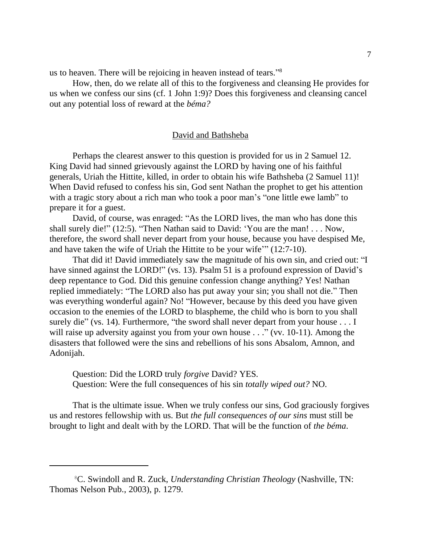us to heaven. There will be rejoicing in heaven instead of tears."<sup>8</sup>

How, then, do we relate all of this to the forgiveness and cleansing He provides for us when we confess our sins (cf. 1 John 1:9)? Does this forgiveness and cleansing cancel out any potential loss of reward at the *béma?*

#### David and Bathsheba

Perhaps the clearest answer to this question is provided for us in 2 Samuel 12. King David had sinned grievously against the LORD by having one of his faithful generals, Uriah the Hittite, killed, in order to obtain his wife Bathsheba (2 Samuel 11)! When David refused to confess his sin, God sent Nathan the prophet to get his attention with a tragic story about a rich man who took a poor man's "one little ewe lamb" to prepare it for a guest.

David, of course, was enraged: "As the LORD lives, the man who has done this shall surely die!" (12:5). "Then Nathan said to David: 'You are the man! . . . Now, therefore, the sword shall never depart from your house, because you have despised Me, and have taken the wife of Uriah the Hittite to be your wife'" (12:7-10).

That did it! David immediately saw the magnitude of his own sin, and cried out: "I have sinned against the LORD!" (vs. 13). Psalm 51 is a profound expression of David's deep repentance to God. Did this genuine confession change anything? Yes! Nathan replied immediately: "The LORD also has put away your sin; you shall not die." Then was everything wonderful again? No! "However, because by this deed you have given occasion to the enemies of the LORD to blaspheme, the child who is born to you shall surely die" (vs. 14). Furthermore, "the sword shall never depart from your house . . . I will raise up adversity against you from your own house . . ." (vv. 10-11). Among the disasters that followed were the sins and rebellions of his sons Absalom, Amnon, and Adonijah.

Question: Did the LORD truly *forgive* David? YES. Question: Were the full consequences of his sin *totally wiped out?* NO.

That is the ultimate issue. When we truly confess our sins, God graciously forgives us and restores fellowship with us. But *the full consequences of our sins* must still be brought to light and dealt with by the LORD. That will be the function of *the béma*.

<sup>8</sup>C. Swindoll and R. Zuck, *Understanding Christian Theology* (Nashville, TN: Thomas Nelson Pub., 2003), p. 1279.